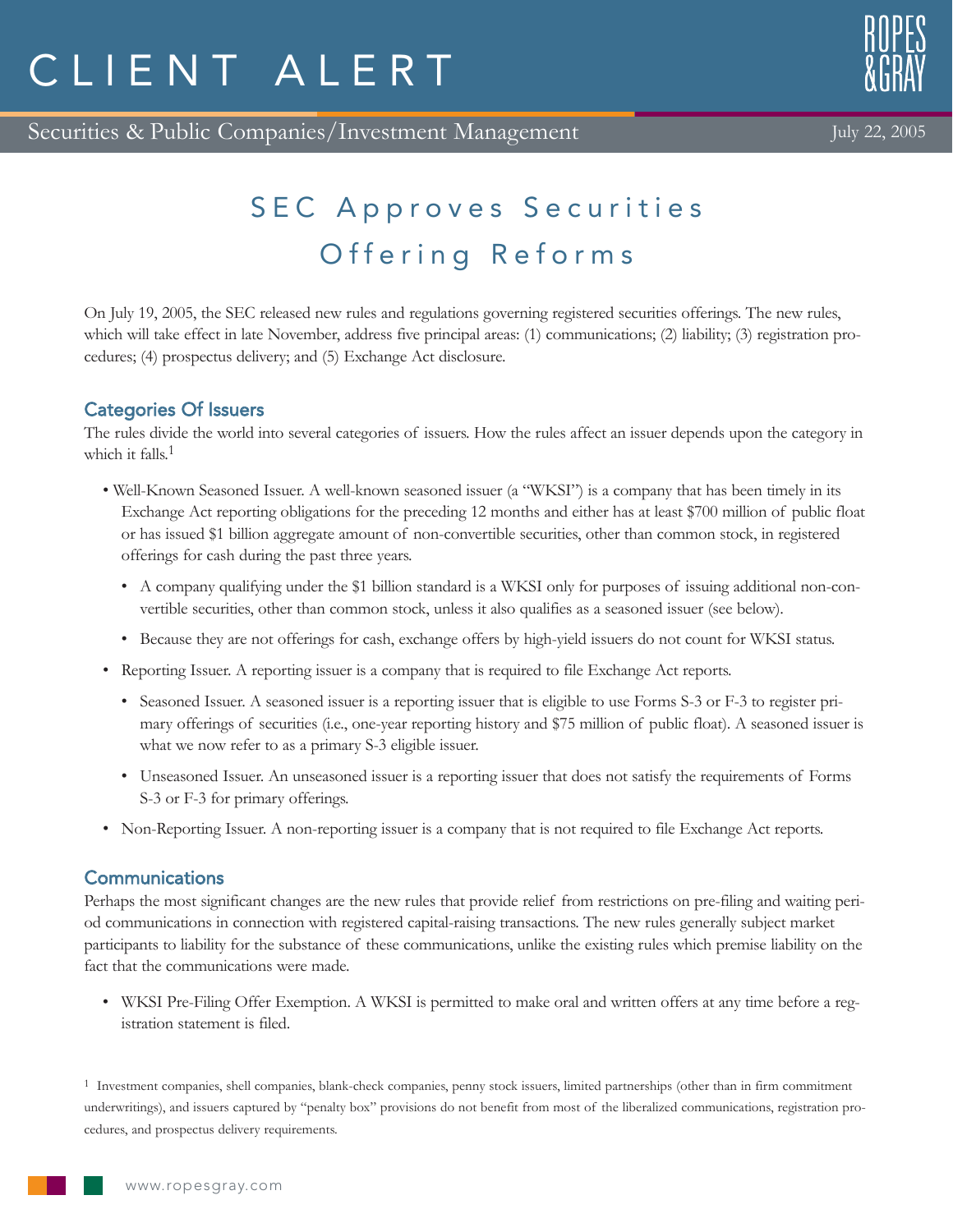# CLIENT ALERT





July 22, 2005

# SEC Approves Securities Offering Reforms

On July 19, 2005, the SEC released new rules and regulations governing registered securities offerings. The new rules, which will take effect in late November, address five principal areas: (1) communications; (2) liability; (3) registration procedures; (4) prospectus delivery; and (5) Exchange Act disclosure.

## Categories Of Issuers

The rules divide the world into several categories of issuers. How the rules affect an issuer depends upon the category in which it falls.<sup>1</sup>

- Well-Known Seasoned Issuer. A well-known seasoned issuer (a "WKSI") is a company that has been timely in its Exchange Act reporting obligations for the preceding 12 months and either has at least \$700 million of public float or has issued \$1 billion aggregate amount of non-convertible securities, other than common stock, in registered offerings for cash during the past three years.
	- A company qualifying under the \$1 billion standard is a WKSI only for purposes of issuing additional non-convertible securities, other than common stock, unless it also qualifies as a seasoned issuer (see below).
	- Because they are not offerings for cash, exchange offers by high-yield issuers do not count for WKSI status.
- Reporting Issuer. A reporting issuer is a company that is required to file Exchange Act reports.
	- Seasoned Issuer. A seasoned issuer is a reporting issuer that is eligible to use Forms S-3 or F-3 to register primary offerings of securities (i.e., one-year reporting history and \$75 million of public float). A seasoned issuer is what we now refer to as a primary S-3 eligible issuer.
	- Unseasoned Issuer. An unseasoned issuer is a reporting issuer that does not satisfy the requirements of Forms S-3 or F-3 for primary offerings.
- Non-Reporting Issuer. A non-reporting issuer is a company that is not required to file Exchange Act reports.

### **Communications**

Perhaps the most significant changes are the new rules that provide relief from restrictions on pre-filing and waiting period communications in connection with registered capital-raising transactions. The new rules generally subject market participants to liability for the substance of these communications, unlike the existing rules which premise liability on the fact that the communications were made.

• WKSI Pre-Filing Offer Exemption. A WKSI is permitted to make oral and written offers at any time before a registration statement is filed.

1 Investment companies, shell companies, blank-check companies, penny stock issuers, limited partnerships (other than in firm commitment underwritings), and issuers captured by "penalty box" provisions do not benefit from most of the liberalized communications, registration procedures, and prospectus delivery requirements.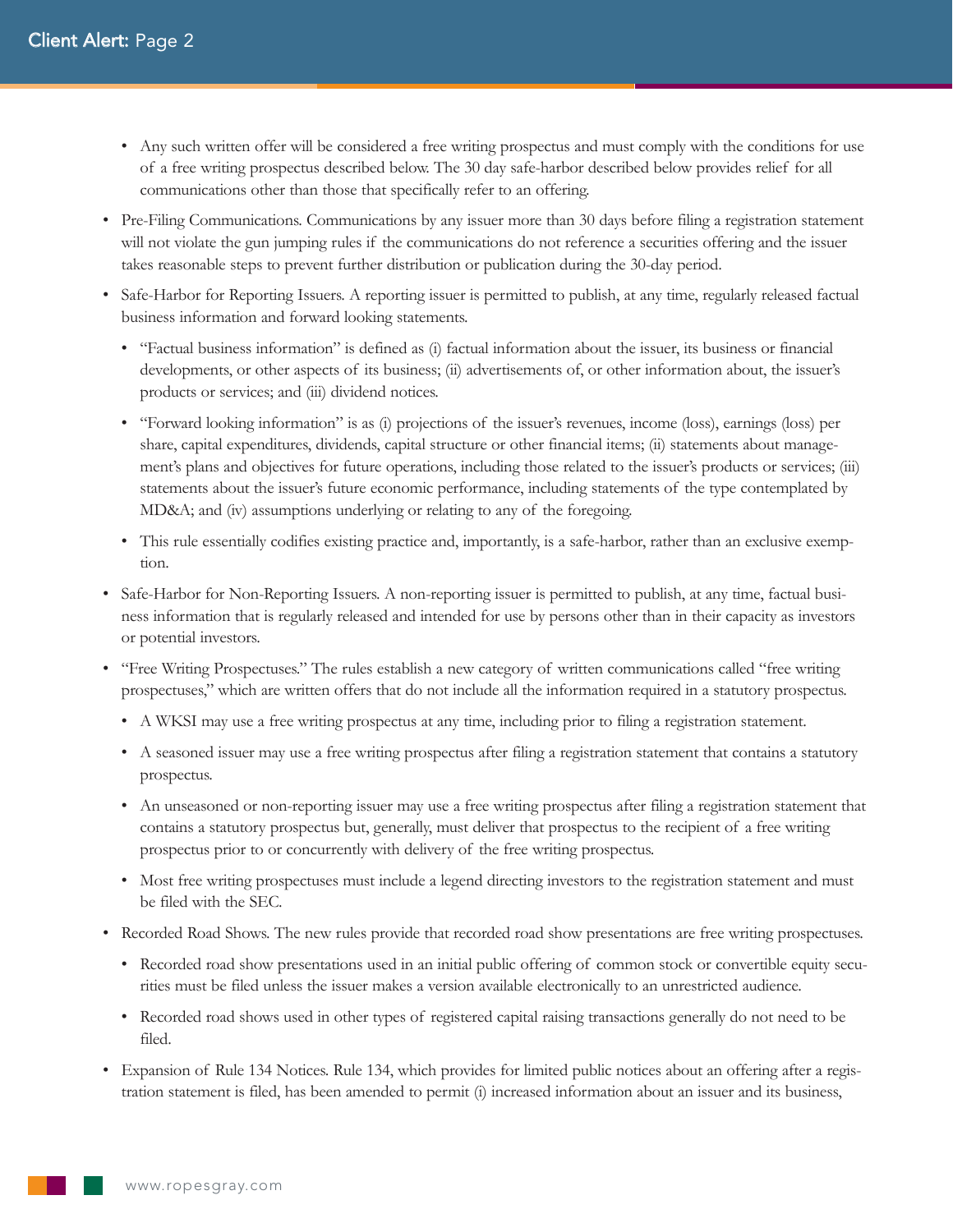- Any such written offer will be considered a free writing prospectus and must comply with the conditions for use of a free writing prospectus described below. The 30 day safe-harbor described below provides relief for all communications other than those that specifically refer to an offering.
- Pre-Filing Communications. Communications by any issuer more than 30 days before filing a registration statement will not violate the gun jumping rules if the communications do not reference a securities offering and the issuer takes reasonable steps to prevent further distribution or publication during the 30-day period.
- Safe-Harbor for Reporting Issuers. A reporting issuer is permitted to publish, at any time, regularly released factual business information and forward looking statements.
	- "Factual business information" is defined as (i) factual information about the issuer, its business or financial developments, or other aspects of its business; (ii) advertisements of, or other information about, the issuer's products or services; and (iii) dividend notices.
	- "Forward looking information" is as (i) projections of the issuer's revenues, income (loss), earnings (loss) per share, capital expenditures, dividends, capital structure or other financial items; (ii) statements about management's plans and objectives for future operations, including those related to the issuer's products or services; (iii) statements about the issuer's future economic performance, including statements of the type contemplated by MD&A; and (iv) assumptions underlying or relating to any of the foregoing.
	- This rule essentially codifies existing practice and, importantly, is a safe-harbor, rather than an exclusive exemption.
- Safe-Harbor for Non-Reporting Issuers. A non-reporting issuer is permitted to publish, at any time, factual business information that is regularly released and intended for use by persons other than in their capacity as investors or potential investors.
- "Free Writing Prospectuses." The rules establish a new category of written communications called "free writing prospectuses," which are written offers that do not include all the information required in a statutory prospectus.
	- A WKSI may use a free writing prospectus at any time, including prior to filing a registration statement.
	- A seasoned issuer may use a free writing prospectus after filing a registration statement that contains a statutory prospectus.
	- An unseasoned or non-reporting issuer may use a free writing prospectus after filing a registration statement that contains a statutory prospectus but, generally, must deliver that prospectus to the recipient of a free writing prospectus prior to or concurrently with delivery of the free writing prospectus.
	- Most free writing prospectuses must include a legend directing investors to the registration statement and must be filed with the SEC.
- Recorded Road Shows. The new rules provide that recorded road show presentations are free writing prospectuses.
	- Recorded road show presentations used in an initial public offering of common stock or convertible equity securities must be filed unless the issuer makes a version available electronically to an unrestricted audience.
	- Recorded road shows used in other types of registered capital raising transactions generally do not need to be filed.
- Expansion of Rule 134 Notices. Rule 134, which provides for limited public notices about an offering after a registration statement is filed, has been amended to permit (i) increased information about an issuer and its business,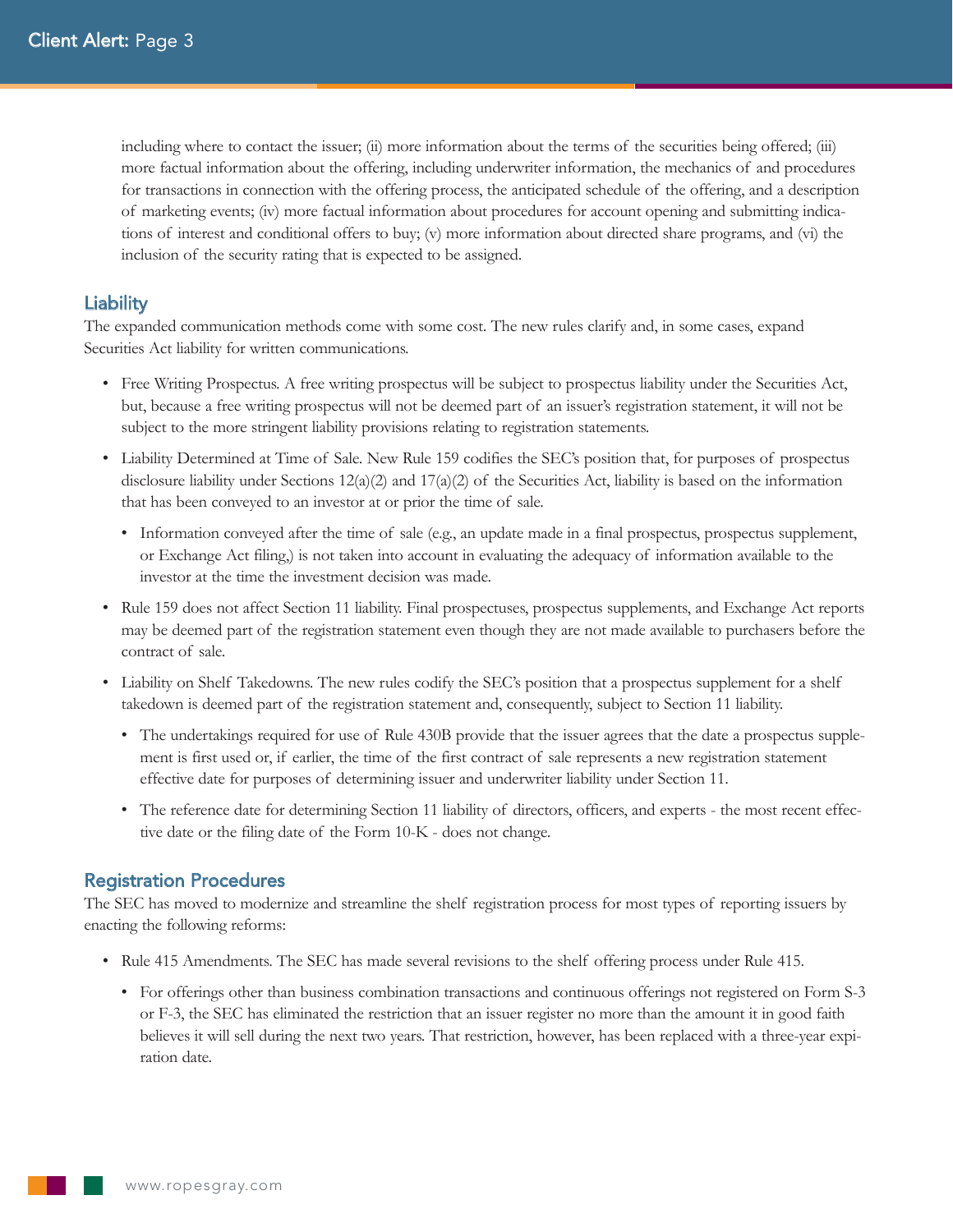including where to contact the issuer; (ii) more information about the terms of the securities being offered; (iii) more factual information about the offering, including underwriter information, the mechanics of and procedures for transactions in connection with the offering process, the anticipated schedule of the offering, and a description of marketing events; (iv) more factual information about procedures for account opening and submitting indications of interest and conditional offers to buy; (v) more information about directed share programs, and (vi) the inclusion of the security rating that is expected to be assigned.

#### **Liability**

The expanded communication methods come with some cost. The new rules clarify and, in some cases, expand Securities Act liability for written communications.

- Free Writing Prospectus. A free writing prospectus will be subject to prospectus liability under the Securities Act, but, because a free writing prospectus will not be deemed part of an issuer's registration statement, it will not be subject to the more stringent liability provisions relating to registration statements.
- Liability Determined at Time of Sale. New Rule 159 codifies the SEC's position that, for purposes of prospectus disclosure liability under Sections  $12(a)(2)$  and  $17(a)(2)$  of the Securities Act, liability is based on the information that has been conveyed to an investor at or prior the time of sale.
	- Information conveyed after the time of sale (e.g., an update made in a final prospectus, prospectus supplement, or Exchange Act filing,) is not taken into account in evaluating the adequacy of information available to the investor at the time the investment decision was made.
- Rule 159 does not affect Section 11 liability. Final prospectuses, prospectus supplements, and Exchange Act reports may be deemed part of the registration statement even though they are not made available to purchasers before the contract of sale.
- Liability on Shelf Takedowns. The new rules codify the SEC's position that a prospectus supplement for a shelf takedown is deemed part of the registration statement and, consequently, subject to Section 11 liability.
	- The undertakings required for use of Rule 430B provide that the issuer agrees that the date a prospectus supplement is first used or, if earlier, the time of the first contract of sale represents a new registration statement effective date for purposes of determining issuer and underwriter liability under Section 11.
	- The reference date for determining Section 11 liability of directors, officers, and experts the most recent effective date or the filing date of the Form 10-K - does not change.

#### Registration Procedures

The SEC has moved to modernize and streamline the shelf registration process for most types of reporting issuers by enacting the following reforms:

- Rule 415 Amendments. The SEC has made several revisions to the shelf offering process under Rule 415.
	- For offerings other than business combination transactions and continuous offerings not registered on Form S-3 or F-3, the SEC has eliminated the restriction that an issuer register no more than the amount it in good faith believes it will sell during the next two years. That restriction, however, has been replaced with a three-year expiration date.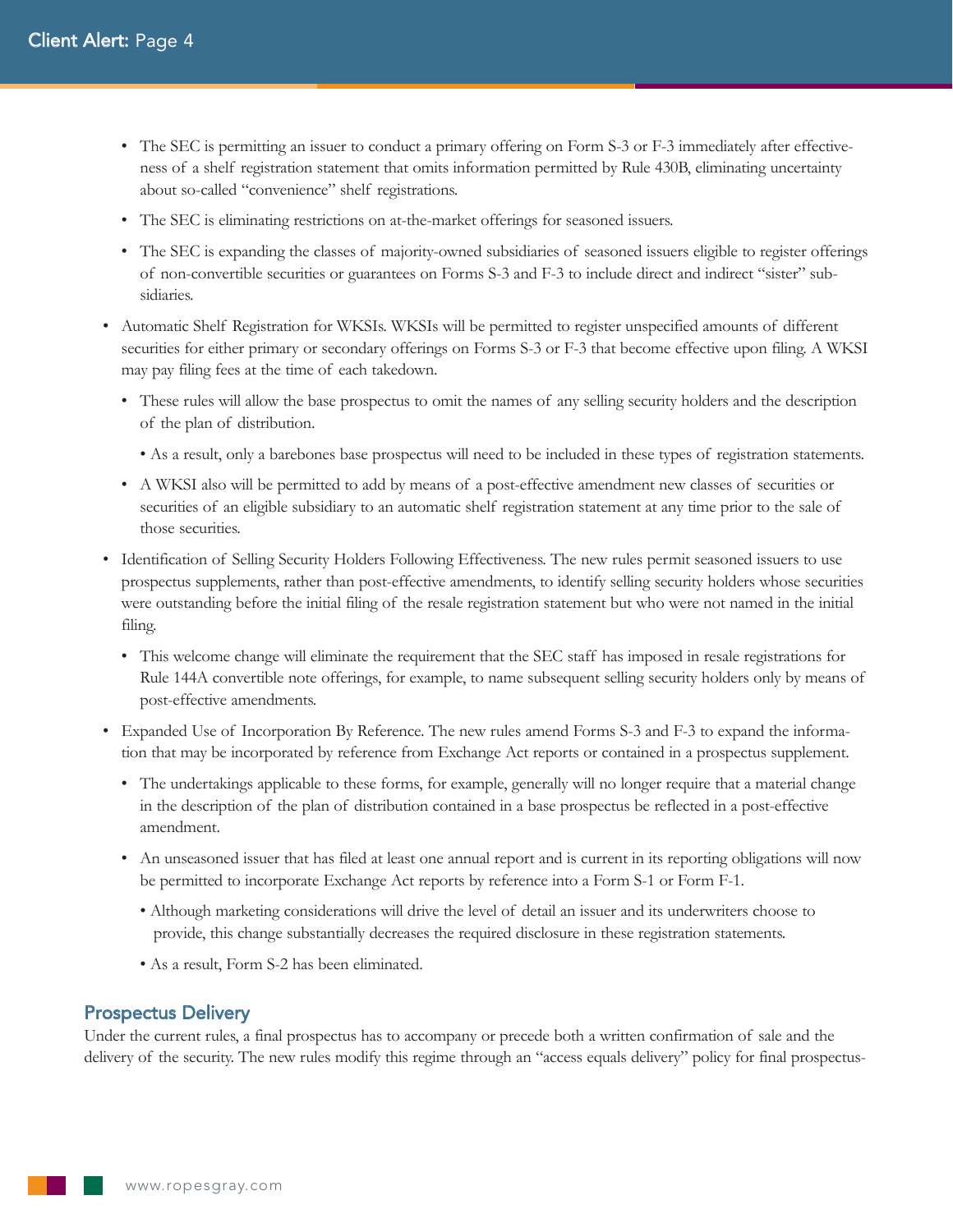- The SEC is permitting an issuer to conduct a primary offering on Form S-3 or F-3 immediately after effectiveness of a shelf registration statement that omits information permitted by Rule 430B, eliminating uncertainty about so-called "convenience" shelf registrations.
- The SEC is eliminating restrictions on at-the-market offerings for seasoned issuers.
- The SEC is expanding the classes of majority-owned subsidiaries of seasoned issuers eligible to register offerings of non-convertible securities or guarantees on Forms S-3 and F-3 to include direct and indirect "sister" subsidiaries.
- Automatic Shelf Registration for WKSIs. WKSIs will be permitted to register unspecified amounts of different securities for either primary or secondary offerings on Forms S-3 or F-3 that become effective upon filing. A WKSI may pay filing fees at the time of each takedown.
	- These rules will allow the base prospectus to omit the names of any selling security holders and the description of the plan of distribution.
		- As a result, only a barebones base prospectus will need to be included in these types of registration statements.
	- A WKSI also will be permitted to add by means of a post-effective amendment new classes of securities or securities of an eligible subsidiary to an automatic shelf registration statement at any time prior to the sale of those securities.
- Identification of Selling Security Holders Following Effectiveness. The new rules permit seasoned issuers to use prospectus supplements, rather than post-effective amendments, to identify selling security holders whose securities were outstanding before the initial filing of the resale registration statement but who were not named in the initial filing.
	- This welcome change will eliminate the requirement that the SEC staff has imposed in resale registrations for Rule 144A convertible note offerings, for example, to name subsequent selling security holders only by means of post-effective amendments.
- Expanded Use of Incorporation By Reference. The new rules amend Forms S-3 and F-3 to expand the information that may be incorporated by reference from Exchange Act reports or contained in a prospectus supplement.
	- The undertakings applicable to these forms, for example, generally will no longer require that a material change in the description of the plan of distribution contained in a base prospectus be reflected in a post-effective amendment.
	- An unseasoned issuer that has filed at least one annual report and is current in its reporting obligations will now be permitted to incorporate Exchange Act reports by reference into a Form S-1 or Form F-1.
		- Although marketing considerations will drive the level of detail an issuer and its underwriters choose to provide, this change substantially decreases the required disclosure in these registration statements.
		- As a result, Form S-2 has been eliminated.

#### Prospectus Delivery

Under the current rules, a final prospectus has to accompany or precede both a written confirmation of sale and the delivery of the security. The new rules modify this regime through an "access equals delivery" policy for final prospectus